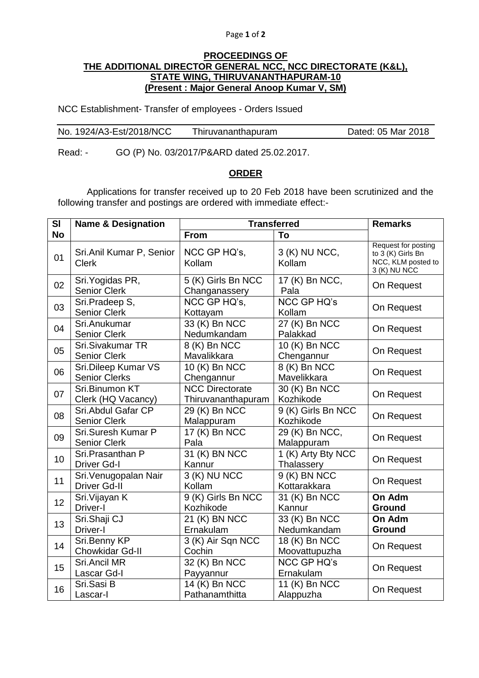## Page **1** of **2**

## **PROCEEDINGS OF THE ADDITIONAL DIRECTOR GENERAL NCC, NCC DIRECTORATE (K&L), STATE WING, THIRUVANANTHAPURAM-10 (Present : Major General Anoop Kumar V, SM)**

NCC Establishment- Transfer of employees - Orders Issued

| No. 1924/A3-Est/2018/NCC | Thiruvananthapuram | Dated: 05 Mar 2018 |
|--------------------------|--------------------|--------------------|
|                          |                    |                    |

Read: - GO (P) No. 03/2017/P&ARD dated 25.02.2017.

## **ORDER**

Applications for transfer received up to 20 Feb 2018 have been scrutinized and the following transfer and postings are ordered with immediate effect:-

| SI        | <b>Name &amp; Designation</b>                | <b>Transferred</b>                           |                                  | <b>Remarks</b>                                                                 |
|-----------|----------------------------------------------|----------------------------------------------|----------------------------------|--------------------------------------------------------------------------------|
| <b>No</b> |                                              | From                                         | To                               |                                                                                |
| 01        | Sri.Anil Kumar P, Senior<br><b>Clerk</b>     | NCC GP HQ's,<br>Kollam                       | 3 (K) NU NCC,<br>Kollam          | Request for posting<br>to 3 (K) Girls Bn<br>NCC, KLM posted to<br>3 (K) NU NCC |
| 02        | Sri. Yogidas PR,<br>Senior Clerk             | 5 (K) Girls Bn NCC<br>Changanassery          | 17 (K) Bn NCC,<br>Pala           | On Request                                                                     |
| 03        | Sri.Pradeep S,<br><b>Senior Clerk</b>        | NCC GP HQ's,<br>Kottayam                     | <b>NCC GP HQ's</b><br>Kollam     | On Request                                                                     |
| 04        | Sri.Anukumar<br><b>Senior Clerk</b>          | 33 (K) Bn NCC<br>Nedumkandam                 | 27 (K) Bn NCC<br>Palakkad        | On Request                                                                     |
| 05        | Sri.Sivakumar TR<br><b>Senior Clerk</b>      | 8 (K) Bn NCC<br>Mavalikkara                  | 10 (K) Bn NCC<br>Chengannur      | On Request                                                                     |
| 06        | Sri.Dileep Kumar VS<br><b>Senior Clerks</b>  | 10 (K) Bn NCC<br>Chengannur                  | 8 (K) Bn NCC<br>Mavelikkara      | On Request                                                                     |
| 07        | Sri.Binumon KT<br>Clerk (HQ Vacancy)         | <b>NCC Directorate</b><br>Thiruvananthapuram | 30 (K) Bn NCC<br>Kozhikode       | On Request                                                                     |
| 08        | Sri. Abdul Gafar CP<br><b>Senior Clerk</b>   | 29 (K) Bn NCC<br>Malappuram                  | 9 (K) Girls Bn NCC<br>Kozhikode  | On Request                                                                     |
| 09        | Sri.Suresh Kumar P<br>Senior Clerk           | 17 $(K)$ Bn NCC<br>Pala                      | 29 (K) Bn NCC,<br>Malappuram     | On Request                                                                     |
| 10        | Sri.Prasanthan P<br><b>Driver Gd-I</b>       | 31 (K) BN NCC<br>Kannur                      | 1 (K) Arty Bty NCC<br>Thalassery | On Request                                                                     |
| 11        | Sri. Venugopalan Nair<br><b>Driver Gd-II</b> | $3(K)$ NU NCC<br>Kollam                      | 9 (K) BN NCC<br>Kottarakkara     | On Request                                                                     |
| 12        | Sri. Vijayan K<br>Driver-I                   | 9 (K) Girls Bn NCC<br>Kozhikode              | 31 (K) Bn NCC<br>Kannur          | On Adm<br><b>Ground</b>                                                        |
| 13        | Sri.Shaji CJ<br>Driver-I                     | 21 (K) BN NCC<br>Ernakulam                   | 33 (K) Bn NCC<br>Nedumkandam     | On Adm<br>Ground                                                               |
| 14        | Sri.Benny KP<br>Chowkidar Gd-II              | 3 (K) Air Sqn NCC<br>Cochin                  | 18 (K) Bn NCC<br>Moovattupuzha   | On Request                                                                     |
| 15        | Sri.Ancil MR<br>Lascar Gd-I                  | 32 (K) Bn NCC<br>Payyannur                   | <b>NCC GP HQ's</b><br>Ernakulam  | On Request                                                                     |
| 16        | Sri.Sasi B<br>Lascar-I                       | 14 (K) Bn NCC<br>Pathanamthitta              | 11 (K) Bn NCC<br>Alappuzha       | On Request                                                                     |